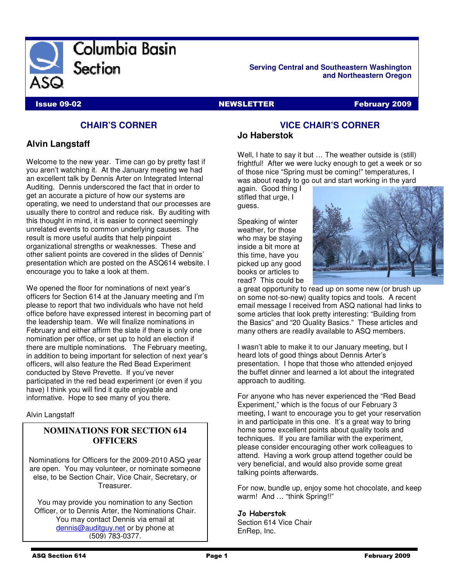

**Serving Central and Southeastern Washington and Northeastern Oregon** 

**Issue 09-02** NEWSLETTER February 2009

# **CHAIR'S CORNER**

# **Alvin Langstaff**

Welcome to the new year. Time can go by pretty fast if you aren't watching it. At the January meeting we had an excellent talk by Dennis Arter on Integrated Internal Auditing. Dennis underscored the fact that in order to get an accurate a picture of how our systems are operating, we need to understand that our processes are usually there to control and reduce risk. By auditing with this thought in mind, it is easier to connect seemingly unrelated events to common underlying causes. The result is more useful audits that help pinpoint organizational strengths or weaknesses. These and other salient points are covered in the slides of Dennis' presentation which are posted on the ASQ614 website. I encourage you to take a look at them.

We opened the floor for nominations of next year's officers for Section 614 at the January meeting and I'm please to report that two individuals who have not held office before have expressed interest in becoming part of the leadership team. We will finalize nominations in February and either affirm the slate if there is only one nomination per office, or set up to hold an election if there are multiple nominations. The February meeting, in addition to being important for selection of next year's officers, will also feature the Red Bead Experiment conducted by Steve Prevette. If you've never participated in the red bead experiment (or even if you have) I think you will find it quite enjoyable and informative. Hope to see many of you there.

Alvin Langstaff

# **NOMINATIONS FOR SECTION 614 OFFICERS**

Nominations for Officers for the 2009-2010 ASQ year are open. You may volunteer, or nominate someone else, to be Section Chair, Vice Chair, Secretary, or Treasurer.

You may provide you nomination to any Section Officer, or to Dennis Arter, the Nominations Chair. You may contact Dennis via email at dennis@auditguy.net or by phone at (509) 783-0377.

# **VICE CHAIR'S CORNER Jo Haberstok**

Well, I hate to say it but ... The weather outside is (still) frightful! After we were lucky enough to get a week or so of those nice "Spring must be coming!" temperatures, I was about ready to go out and start working in the yard

again. Good thing I stifled that urge, I guess.

Speaking of winter weather, for those who may be staying inside a bit more at this time, have you picked up any good books or articles to read? This could be



a great opportunity to read up on some new (or brush up on some not-so-new) quality topics and tools. A recent email message I received from ASQ national had links to some articles that look pretty interesting: "Building from the Basics" and "20 Quality Basics." These articles and many others are readily available to ASQ members.

I wasn't able to make it to our January meeting, but I heard lots of good things about Dennis Arter's presentation. I hope that those who attended enjoyed the buffet dinner and learned a lot about the integrated approach to auditing.

For anyone who has never experienced the "Red Bead Experiment," which is the focus of our February 3 meeting, I want to encourage you to get your reservation in and participate in this one. It's a great way to bring home some excellent points about quality tools and techniques. If you are familiar with the experiment, please consider encouraging other work colleagues to attend. Having a work group attend together could be very beneficial, and would also provide some great talking points afterwards.

For now, bundle up, enjoy some hot chocolate, and keep warm! And ... "think Spring!!"

#### Jo Haberstok

Section 614 Vice Chair EnRep, Inc.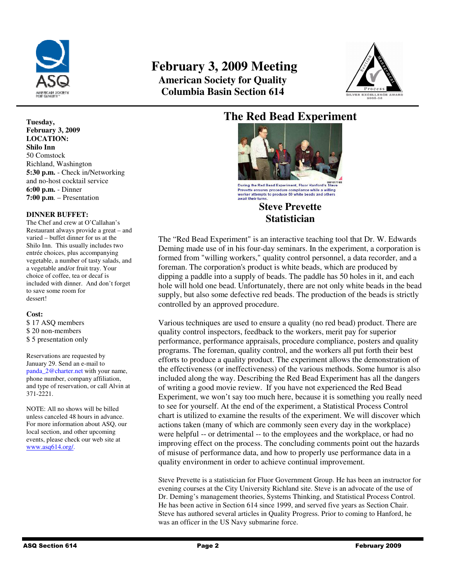

# **February 3, 2009 Meeting American Society for Quality Columbia Basin Section 614**



## **Tuesday, February 3, 2009 LOCATION: Shilo Inn**  50 Comstock Richland, Washington **5:30 p.m.** - Check in/Networking and no-host cocktail service **6:00 p.m.** - Dinner **7:00 p.m**. – Presentation

## **DINNER BUFFET:**

The Chef and crew at O'Callahan's Restaurant always provide a great – and varied – buffet dinner for us at the Shilo Inn. This usually includes two entrée choices, plus accompanying vegetable, a number of tasty salads, and a vegetable and/or fruit tray. Your choice of coffee, tea or decaf is included with dinner. And don't forget to save some room for dessert!

## **Cost:**

\$ 17 ASQ members \$ 20 non-members \$ 5 presentation only

Reservations are requested by January 29. Send an e-mail to panda\_2@charter.net with your name, phone number, company affiliation, and type of reservation, or call Alvin at 371-2221.

NOTE: All no shows will be billed unless canceled 48 hours in advance. For more information about ASQ, our local section, and other upcoming events, please check our web site at www.asq614.org/.

# **The Red Bead Experiment**



During the Red Bead Experiment, Fluor Hanford's Stev Prevette ensures procedure compliance while a willing<br>worker attempts to produce 50 white beads and others villing await their turns

# **Steve Prevette Statistician**

The "Red Bead Experiment" is an interactive teaching tool that Dr. W. Edwards Deming made use of in his four-day seminars. In the experiment, a corporation is formed from "willing workers," quality control personnel, a data recorder, and a foreman. The corporation's product is white beads, which are produced by dipping a paddle into a supply of beads. The paddle has 50 holes in it, and each hole will hold one bead. Unfortunately, there are not only white beads in the bead supply, but also some defective red beads. The production of the beads is strictly controlled by an approved procedure.

Various techniques are used to ensure a quality (no red bead) product. There are quality control inspectors, feedback to the workers, merit pay for superior performance, performance appraisals, procedure compliance, posters and quality programs. The foreman, quality control, and the workers all put forth their best efforts to produce a quality product. The experiment allows the demonstration of the effectiveness (or ineffectiveness) of the various methods. Some humor is also included along the way. Describing the Red Bead Experiment has all the dangers of writing a good movie review. If you have not experienced the Red Bead Experiment, we won't say too much here, because it is something you really need to see for yourself. At the end of the experiment, a Statistical Process Control chart is utilized to examine the results of the experiment. We will discover which actions taken (many of which are commonly seen every day in the workplace) were helpful -- or detrimental -- to the employees and the workplace, or had no improving effect on the process. The concluding comments point out the hazards of misuse of performance data, and how to properly use performance data in a quality environment in order to achieve continual improvement.

Steve Prevette is a statistician for Fluor Government Group. He has been an instructor for evening courses at the City University Richland site. Steve is an advocate of the use of Dr. Deming's management theories, Systems Thinking, and Statistical Process Control. He has been active in Section 614 since 1999, and served five years as Section Chair. Steve has authored several articles in Quality Progress. Prior to coming to Hanford, he was an officer in the US Navy submarine force.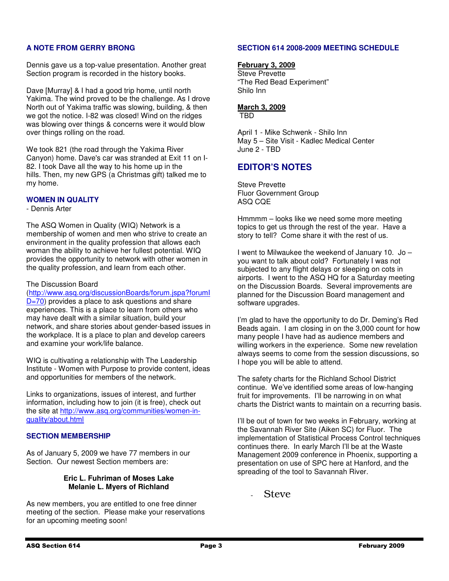# **A NOTE FROM GERRY BRONG**

Dennis gave us a top-value presentation. Another great Section program is recorded in the history books.

Dave [Murray] & I had a good trip home, until north Yakima. The wind proved to be the challenge. As I drove North out of Yakima traffic was slowing, building, & then we got the notice. I-82 was closed! Wind on the ridges was blowing over things & concerns were it would blow over things rolling on the road.

We took 821 (the road through the Yakima River Canyon) home. Dave's car was stranded at Exit 11 on I-82. I took Dave all the way to his home up in the hills. Then, my new GPS (a Christmas gift) talked me to my home.

# **WOMEN IN QUALITY**

- Dennis Arter

The ASQ Women in Quality (WIQ) Network is a membership of women and men who strive to create an environment in the quality profession that allows each woman the ability to achieve her fullest potential. WIQ provides the opportunity to network with other women in the quality profession, and learn from each other.

## The Discussion Board

(http://www.asq.org/discussionBoards/forum.jspa?forumI

D=70) provides a place to ask questions and share experiences. This is a place to learn from others who may have dealt with a similar situation, build your network, and share stories about gender-based issues in the workplace. It is a place to plan and develop careers and examine your work/life balance.

WIQ is cultivating a relationship with The Leadership Institute - Women with Purpose to provide content, ideas and opportunities for members of the network.

Links to organizations, issues of interest, and further information, including how to join (it is free), check out the site at http://www.asq.org/communities/women-inquality/about.html

# **SECTION MEMBERSHIP**

As of January 5, 2009 we have 77 members in our Section. Our newest Section members are:

## **Eric L. Fuhriman of Moses Lake Melanie L. Myers of Richland**

As new members, you are entitled to one free dinner meeting of the section. Please make your reservations for an upcoming meeting soon!

# **SECTION 614 2008-2009 MEETING SCHEDULE**

## **February 3, 2009**

Steve Prevette "The Red Bead Experiment" Shilo Inn

# **March 3, 2009**

TBD

April 1 - Mike Schwenk - Shilo Inn May 5 – Site Visit - Kadlec Medical Center June 2 - TBD

# **EDITOR'S NOTES**

Steve Prevette Fluor Government Group ASQ CQE

Hmmmm – looks like we need some more meeting topics to get us through the rest of the year. Have a story to tell? Come share it with the rest of us.

I went to Milwaukee the weekend of January 10. Jo – you want to talk about cold? Fortunately I was not subjected to any flight delays or sleeping on cots in airports. I went to the ASQ HQ for a Saturday meeting on the Discussion Boards. Several improvements are planned for the Discussion Board management and software upgrades.

I'm glad to have the opportunity to do Dr. Deming's Red Beads again. I am closing in on the 3,000 count for how many people I have had as audience members and willing workers in the experience. Some new revelation always seems to come from the session discussions, so I hope you will be able to attend.

The safety charts for the Richland School District continue. We've identified some areas of low-hanging fruit for improvements. I'll be narrowing in on what charts the District wants to maintain on a recurring basis.

I'll be out of town for two weeks in February, working at the Savannah River Site (Aiken SC) for Fluor. The implementation of Statistical Process Control techniques continues there. In early March I'll be at the Waste Management 2009 conference in Phoenix, supporting a presentation on use of SPC here at Hanford, and the spreading of the tool to Savannah River.

**Steve**